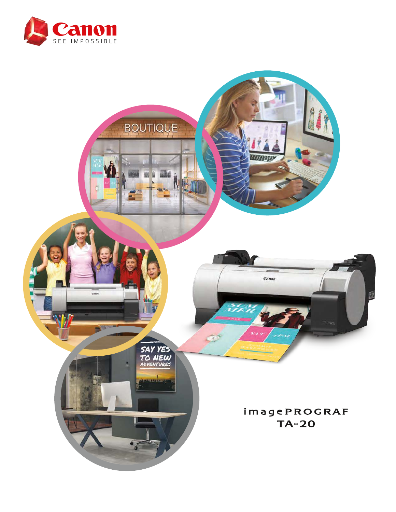